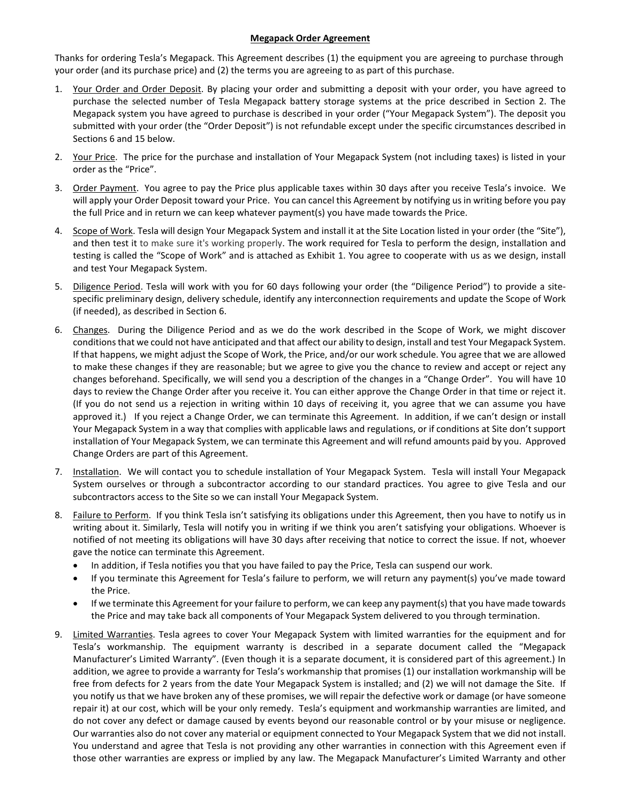#### **Megapack Order Agreement**

Thanks for ordering Tesla's Megapack. This Agreement describes (1) the equipment you are agreeing to purchase through your order (and its purchase price) and (2) the terms you are agreeing to as part of this purchase.

- 1. Your Order and Order Deposit. By placing your order and submitting a deposit with your order, you have agreed to purchase the selected number of Tesla Megapack battery storage systems at the price described in Section 2. The Megapack system you have agreed to purchase is described in your order ("Your Megapack System"). The deposit you submitted with your order (the "Order Deposit") is not refundable except under the specific circumstances described in Sections 6 and 15 below.
- 2. Your Price. The price for the purchase and installation of Your Megapack System (not including taxes) is listed in your order as the "Price".
- 3. Order Payment. You agree to pay the Price plus applicable taxes within 30 days after you receive Tesla's invoice. We will apply your Order Deposit toward your Price. You can cancel this Agreement by notifying us in writing before you pay the full Price and in return we can keep whatever payment(s) you have made towards the Price.
- 4. Scope of Work. Tesla will design Your Megapack System and install it at the Site Location listed in your order (the "Site"), and then test it to make sure it's working properly. The work required for Tesla to perform the design, installation and testing is called the "Scope of Work" and is attached as Exhibit 1. You agree to cooperate with us as we design, install and test Your Megapack System.
- 5. Diligence Period. Tesla will work with you for 60 days following your order (the "Diligence Period") to provide a sitespecific preliminary design, delivery schedule, identify any interconnection requirements and update the Scope of Work (if needed), as described in Section 6.
- 6. Changes. During the Diligence Period and as we do the work described in the Scope of Work, we might discover conditionsthat we could not have anticipated and that affect our ability to design, install and test Your Megapack System. If that happens, we might adjust the Scope of Work, the Price, and/or our work schedule. You agree that we are allowed to make these changes if they are reasonable; but we agree to give you the chance to review and accept or reject any changes beforehand. Specifically, we will send you a description of the changes in a "Change Order". You will have 10 days to review the Change Order after you receive it. You can either approve the Change Order in that time or reject it. (If you do not send us a rejection in writing within 10 days of receiving it, you agree that we can assume you have approved it.) If you reject a Change Order, we can terminate this Agreement. In addition, if we can't design or install Your Megapack System in a way that complies with applicable laws and regulations, or if conditions at Site don't support installation of Your Megapack System, we can terminate this Agreement and will refund amounts paid by you. Approved Change Orders are part of this Agreement.
- 7. Installation. We will contact you to schedule installation of Your Megapack System. Tesla will install Your Megapack System ourselves or through a subcontractor according to our standard practices. You agree to give Tesla and our subcontractors access to the Site so we can install Your Megapack System.
- 8. Failure to Perform. If you think Tesla isn't satisfying its obligations under this Agreement, then you have to notify us in writing about it. Similarly, Tesla will notify you in writing if we think you aren't satisfying your obligations. Whoever is notified of not meeting its obligations will have 30 days after receiving that notice to correct the issue. If not, whoever gave the notice can terminate this Agreement.
	- In addition, if Tesla notifies you that you have failed to pay the Price, Tesla can suspend our work.
	- If you terminate this Agreement for Tesla's failure to perform, we will return any payment(s) you've made toward the Price.
	- If we terminate this Agreement for your failure to perform, we can keep any payment(s) that you have made towards the Price and may take back all components of Your Megapack System delivered to you through termination.
- 9. Limited Warranties. Tesla agrees to cover Your Megapack System with limited warranties for the equipment and for Tesla's workmanship. The equipment warranty is described in a separate document called the "Megapack Manufacturer's Limited Warranty". (Even though it is a separate document, it is considered part of this agreement.) In addition, we agree to provide a warranty for Tesla's workmanship that promises (1) our installation workmanship will be free from defects for 2 years from the date Your Megapack System is installed; and (2) we will not damage the Site. If you notify us that we have broken any of these promises, we will repair the defective work or damage (or have someone repair it) at our cost, which will be your only remedy. Tesla's equipment and workmanship warranties are limited, and do not cover any defect or damage caused by events beyond our reasonable control or by your misuse or negligence. Our warranties also do not cover any material or equipment connected to Your Megapack System that we did not install. You understand and agree that Tesla is not providing any other warranties in connection with this Agreement even if those other warranties are express or implied by any law. The Megapack Manufacturer's Limited Warranty and other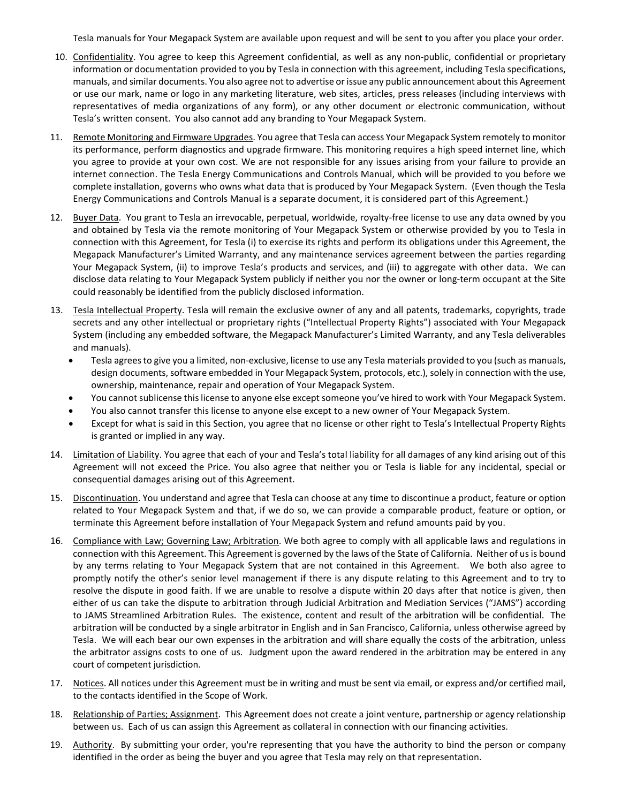Tesla manuals for Your Megapack System are available upon request and will be sent to you after you place your order.

- 10. Confidentiality. You agree to keep this Agreement confidential, as well as any non-public, confidential or proprietary information or documentation provided to you by Tesla in connection with this agreement, including Tesla specifications, manuals, and similar documents. You also agree not to advertise or issue any public announcement about this Agreement or use our mark, name or logo in any marketing literature, web sites, articles, press releases (including interviews with representatives of media organizations of any form), or any other document or electronic communication, without Tesla's written consent. You also cannot add any branding to Your Megapack System.
- 11. Remote Monitoring and Firmware Upgrades. You agree that Tesla can access Your Megapack System remotely to monitor its performance, perform diagnostics and upgrade firmware. This monitoring requires a high speed internet line, which you agree to provide at your own cost. We are not responsible for any issues arising from your failure to provide an internet connection. The Tesla Energy Communications and Controls Manual, which will be provided to you before we complete installation, governs who owns what data that is produced by Your Megapack System. (Even though the Tesla Energy Communications and Controls Manual is a separate document, it is considered part of this Agreement.)
- 12. Buyer Data. You grant to Tesla an irrevocable, perpetual, worldwide, royalty-free license to use any data owned by you and obtained by Tesla via the remote monitoring of Your Megapack System or otherwise provided by you to Tesla in connection with this Agreement, for Tesla (i) to exercise its rights and perform its obligations under this Agreement, the Megapack Manufacturer's Limited Warranty, and any maintenance services agreement between the parties regarding Your Megapack System, (ii) to improve Tesla's products and services, and (iii) to aggregate with other data. We can disclose data relating to Your Megapack System publicly if neither you nor the owner or long-term occupant at the Site could reasonably be identified from the publicly disclosed information.
- 13. Tesla Intellectual Property. Tesla will remain the exclusive owner of any and all patents, trademarks, copyrights, trade secrets and any other intellectual or proprietary rights ("Intellectual Property Rights") associated with Your Megapack System (including any embedded software, the Megapack Manufacturer's Limited Warranty, and any Tesla deliverables and manuals).
	- Tesla agrees to give you a limited, non-exclusive, license to use any Tesla materials provided to you (such as manuals, design documents, software embedded in Your Megapack System, protocols, etc.), solely in connection with the use, ownership, maintenance, repair and operation of Your Megapack System.
	- You cannot sublicense thislicense to anyone else except someone you've hired to work with Your Megapack System.
	- You also cannot transfer this license to anyone else except to a new owner of Your Megapack System.
	- Except for what is said in this Section, you agree that no license or other right to Tesla's Intellectual Property Rights is granted or implied in any way.
- 14. Limitation of Liability. You agree that each of your and Tesla's total liability for all damages of any kind arising out of this Agreement will not exceed the Price. You also agree that neither you or Tesla is liable for any incidental, special or consequential damages arising out of this Agreement.
- 15. Discontinuation. You understand and agree that Tesla can choose at any time to discontinue a product, feature or option related to Your Megapack System and that, if we do so, we can provide a comparable product, feature or option, or terminate this Agreement before installation of Your Megapack System and refund amounts paid by you.
- 16. Compliance with Law; Governing Law; Arbitration. We both agree to comply with all applicable laws and regulations in connection with this Agreement. This Agreement is governed by the laws of the State of California. Neither of us is bound by any terms relating to Your Megapack System that are not contained in this Agreement. We both also agree to promptly notify the other's senior level management if there is any dispute relating to this Agreement and to try to resolve the dispute in good faith. If we are unable to resolve a dispute within 20 days after that notice is given, then either of us can take the dispute to arbitration through Judicial Arbitration and Mediation Services ("JAMS") according to JAMS Streamlined Arbitration Rules. The existence, content and result of the arbitration will be confidential. The arbitration will be conducted by a single arbitrator in English and in San Francisco, California, unless otherwise agreed by Tesla. We will each bear our own expenses in the arbitration and will share equally the costs of the arbitration, unless the arbitrator assigns costs to one of us. Judgment upon the award rendered in the arbitration may be entered in any court of competent jurisdiction.
- 17. Notices. All notices under this Agreement must be in writing and must be sent via email, or express and/or certified mail, to the contacts identified in the Scope of Work.
- 18. Relationship of Parties; Assignment. This Agreement does not create a joint venture, partnership or agency relationship between us. Each of us can assign this Agreement as collateral in connection with our financing activities.
- 19. Authority. By submitting your order, you're representing that you have the authority to bind the person or company identified in the order as being the buyer and you agree that Tesla may rely on that representation.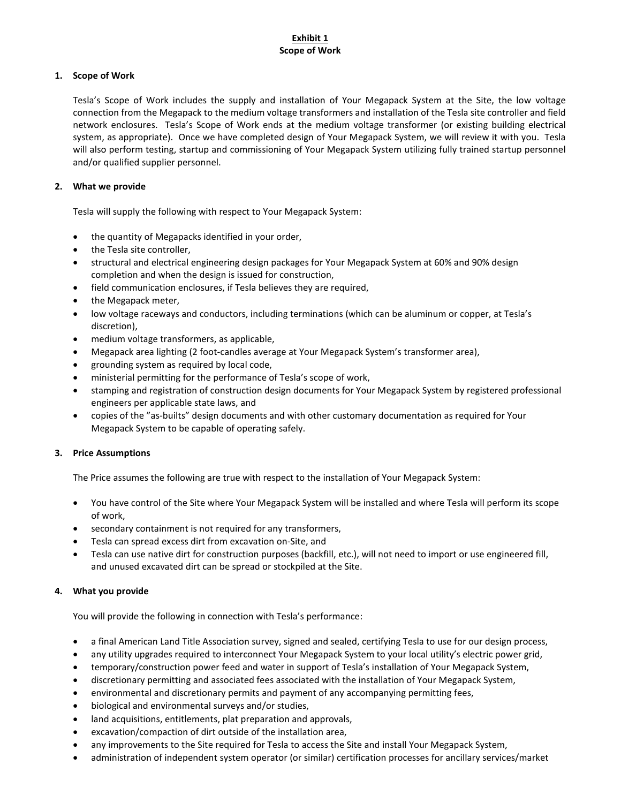# **Exhibit 1 Scope of Work**

## **1. Scope of Work**

Tesla's Scope of Work includes the supply and installation of Your Megapack System at the Site, the low voltage connection from the Megapack to the medium voltage transformers and installation of the Tesla site controller and field network enclosures. Tesla's Scope of Work ends at the medium voltage transformer (or existing building electrical system, as appropriate). Once we have completed design of Your Megapack System, we will review it with you. Tesla will also perform testing, startup and commissioning of Your Megapack System utilizing fully trained startup personnel and/or qualified supplier personnel.

# **2. What we provide**

Tesla will supply the following with respect to Your Megapack System:

- the quantity of Megapacks identified in your order,
- the Tesla site controller,
- structural and electrical engineering design packages for Your Megapack System at 60% and 90% design completion and when the design is issued for construction,
- field communication enclosures, if Tesla believes they are required,
- the Megapack meter,
- low voltage raceways and conductors, including terminations (which can be aluminum or copper, at Tesla's discretion),
- medium voltage transformers, as applicable,
- Megapack area lighting (2 foot-candles average at Your Megapack System's transformer area),
- grounding system as required by local code,
- ministerial permitting for the performance of Tesla's scope of work,
- stamping and registration of construction design documents for Your Megapack System by registered professional engineers per applicable state laws, and
- copies of the "as-builts" design documents and with other customary documentation as required for Your Megapack System to be capable of operating safely.

### **3. Price Assumptions**

The Price assumes the following are true with respect to the installation of Your Megapack System:

- You have control of the Site where Your Megapack System will be installed and where Tesla will perform its scope of work,
- secondary containment is not required for any transformers,
- Tesla can spread excess dirt from excavation on-Site, and
- Tesla can use native dirt for construction purposes (backfill, etc.), will not need to import or use engineered fill, and unused excavated dirt can be spread or stockpiled at the Site.

### **4. What you provide**

You will provide the following in connection with Tesla's performance:

- a final American Land Title Association survey, signed and sealed, certifying Tesla to use for our design process,
- any utility upgrades required to interconnect Your Megapack System to your local utility's electric power grid,
- temporary/construction power feed and water in support of Tesla's installation of Your Megapack System,
- discretionary permitting and associated fees associated with the installation of Your Megapack System,
- environmental and discretionary permits and payment of any accompanying permitting fees,
- biological and environmental surveys and/or studies,
- land acquisitions, entitlements, plat preparation and approvals,
- excavation/compaction of dirt outside of the installation area,
- any improvements to the Site required for Tesla to access the Site and install Your Megapack System,
- administration of independent system operator (or similar) certification processes for ancillary services/market